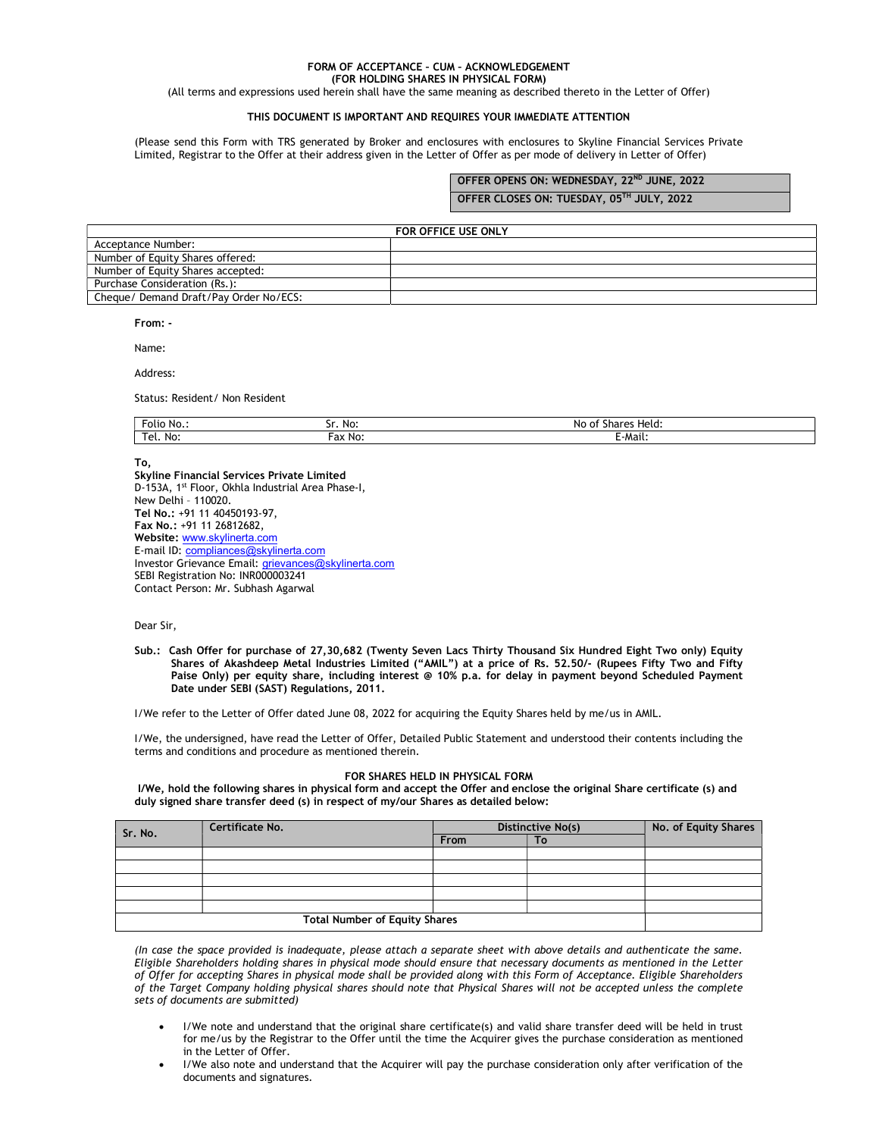### FORM OF ACCEPTANCE – CUM – ACKNOWLEDGEMENT (FOR HOLDING SHARES IN PHYSICAL FORM)

(All terms and expressions used herein shall have the same meaning as described thereto in the Letter of Offer)

# THIS DOCUMENT IS IMPORTANT AND REQUIRES YOUR IMMEDIATE ATTENTION

(Please send this Form with TRS generated by Broker and enclosures with enclosures to Skyline Financial Services Private Limited, Registrar to the Offer at their address given in the Letter of Offer as per mode of delivery in Letter of Offer)

# OFFER OPENS ON: WEDNESDAY, 22ND JUNE, 2022

OFFER CLOSES ON: TUESDAY, 05TH JULY, 2022

|                                        | FOR OFFICE USE ONLY |
|----------------------------------------|---------------------|
| Acceptance Number:                     |                     |
| Number of Equity Shares offered:       |                     |
| Number of Equity Shares accepted:      |                     |
| Purchase Consideration (Rs.):          |                     |
| Cheque/ Demand Draft/Pay Order No/ECS: |                     |

From: -

Name:

Address:

Status: Resident/ Non Resident

| Folio No    | No:     | ; Held:<br>unaren.<br>$\sim$<br>No<br>o |
|-------------|---------|-----------------------------------------|
| ™el.<br>No: | Fax No. | <br>- Mail.                             |

To,

Skyline Financial Services Private Limited D-153A, 1st Floor, Okhla Industrial Area Phase-I, New Delhi – 110020. Tel No.: +91 11 40450193-97, Fax No.: +91 11 26812682, Website: www.skylinerta.com E-mail ID: compliances@skylinerta.com Investor Grievance Email: grievances@skylinerta.com SEBI Registration No: INR000003241 Contact Person: Mr. Subhash Agarwal

Dear Sir,

Sub.: Cash Offer for purchase of 27,30,682 (Twenty Seven Lacs Thirty Thousand Six Hundred Eight Two only) Equity Shares of Akashdeep Metal Industries Limited ("AMIL") at a price of Rs. 52.50/- (Rupees Fifty Two and Fifty Paise Only) per equity share, including interest @ 10% p.a. for delay in payment beyond Scheduled Payment Date under SEBI (SAST) Regulations, 2011.

I/We refer to the Letter of Offer dated June 08, 2022 for acquiring the Equity Shares held by me/us in AMIL.

I/We, the undersigned, have read the Letter of Offer, Detailed Public Statement and understood their contents including the terms and conditions and procedure as mentioned therein.

#### FOR SHARES HELD IN PHYSICAL FORM

 I/We, hold the following shares in physical form and accept the Offer and enclose the original Share certificate (s) and duly signed share transfer deed (s) in respect of my/our Shares as detailed below:

| Sr. No.                              | Certificate No. | Distinctive No(s) |    | No. of Equity Shares |
|--------------------------------------|-----------------|-------------------|----|----------------------|
|                                      |                 | From              | To |                      |
|                                      |                 |                   |    |                      |
|                                      |                 |                   |    |                      |
|                                      |                 |                   |    |                      |
|                                      |                 |                   |    |                      |
|                                      |                 |                   |    |                      |
| <b>Total Number of Equity Shares</b> |                 |                   |    |                      |

(In case the space provided is inadequate, please attach a separate sheet with above details and authenticate the same. Eligible Shareholders holding shares in physical mode should ensure that necessary documents as mentioned in the Letter of Offer for accepting Shares in physical mode shall be provided along with this Form of Acceptance. Eligible Shareholders of the Target Company holding physical shares should note that Physical Shares will not be accepted unless the complete sets of documents are submitted)

- I/We note and understand that the original share certificate(s) and valid share transfer deed will be held in trust for me/us by the Registrar to the Offer until the time the Acquirer gives the purchase consideration as mentioned in the Letter of Offer.
- I/We also note and understand that the Acquirer will pay the purchase consideration only after verification of the documents and signatures.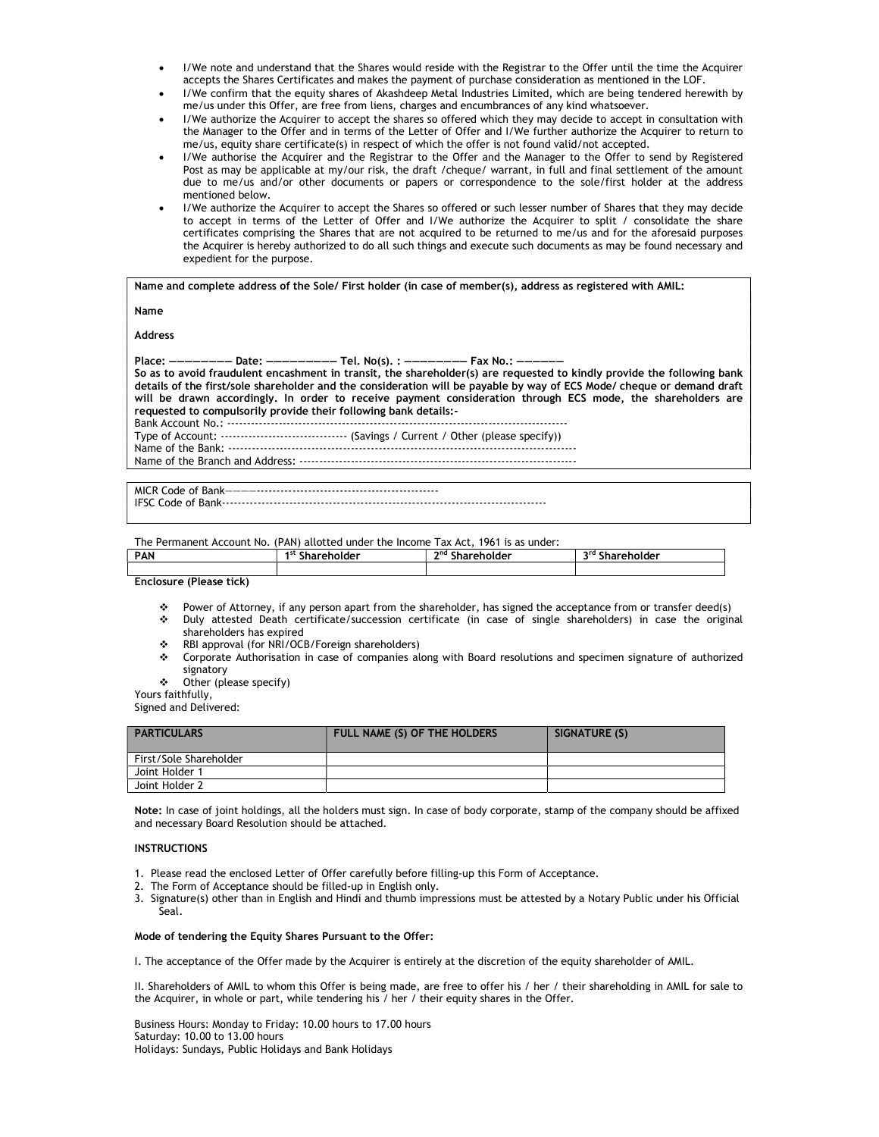- I/We note and understand that the Shares would reside with the Registrar to the Offer until the time the Acquirer accepts the Shares Certificates and makes the payment of purchase consideration as mentioned in the LOF.
- I/We confirm that the equity shares of Akashdeep Metal Industries Limited, which are being tendered herewith by me/us under this Offer, are free from liens, charges and encumbrances of any kind whatsoever.
- I/We authorize the Acquirer to accept the shares so offered which they may decide to accept in consultation with the Manager to the Offer and in terms of the Letter of Offer and I/We further authorize the Acquirer to return to me/us, equity share certificate(s) in respect of which the offer is not found valid/not accepted.
- I/We authorise the Acquirer and the Registrar to the Offer and the Manager to the Offer to send by Registered Post as may be applicable at my/our risk, the draft /cheque/ warrant, in full and final settlement of the amount due to me/us and/or other documents or papers or correspondence to the sole/first holder at the address mentioned below.
- I/We authorize the Acquirer to accept the Shares so offered or such lesser number of Shares that they may decide to accept in terms of the Letter of Offer and I/We authorize the Acquirer to split / consolidate the share certificates comprising the Shares that are not acquired to be returned to me/us and for the aforesaid purposes the Acquirer is hereby authorized to do all such things and execute such documents as may be found necessary and expedient for the purpose.

Name and complete address of the Sole/ First holder (in case of member(s), address as registered with AMIL:

Name

Address

Place: ———————— Date: ————————— Tel. No(s). : ———————— Fax No.: ——————

So as to avoid fraudulent encashment in transit, the shareholder(s) are requested to kindly provide the following bank details of the first/sole shareholder and the consideration will be payable by way of ECS Mode/ cheque or demand draft will be drawn accordingly. In order to receive payment consideration through ECS mode, the shareholders are requested to compulsorily provide their following bank details:-

Bank Account No.: -------------------------------------------------------------------------------------- Type of Account: ---------------------------------- (Savings / Current / Other (please specify))

Name of the Bank: ----------------------------------------------------------------------------------------

Name of the Branch and Address: ----------------------------------------------------------------------

MICR Code of Bank————---------------------------------------------- IFSC Code of Bank----------------------------------------------------------------------------------

The Permanent Account No. (PAN) allotted under the Income Tax Act, 1961 is as under:

| <b>PAN</b>                                                                                                                                   | 1 st<br>reholder | <b>o</b> nd<br>Shareholder<br>∸ | <b>ord</b><br>Shareholder<br> |
|----------------------------------------------------------------------------------------------------------------------------------------------|------------------|---------------------------------|-------------------------------|
|                                                                                                                                              |                  |                                 |                               |
| the contract of the contract of the contract of<br>the control of the control of the con-<br>the contract of the contract of the contract of |                  |                                 |                               |

Enclosure (Please tick)

- Power of Attorney, if any person apart from the shareholder, has signed the acceptance from or transfer deed(s)
- Duly attested Death certificate/succession certificate (in case of single shareholders) in case the original shareholders has expired
- RBI approval (for NRI/OCB/Foreign shareholders)
- Corporate Authorisation in case of companies along with Board resolutions and specimen signature of authorized signatory
- Other (please specify)

Yours faithfully,

Signed and Delivered:

| <b>PARTICULARS</b>     | FULL NAME (S) OF THE HOLDERS | SIGNATURE (S) |
|------------------------|------------------------------|---------------|
| First/Sole Shareholder |                              |               |
| Joint Holder 1         |                              |               |
| Joint Holder 2         |                              |               |

Note: In case of joint holdings, all the holders must sign. In case of body corporate, stamp of the company should be affixed and necessary Board Resolution should be attached.

### INSTRUCTIONS

- 1. Please read the enclosed Letter of Offer carefully before filling-up this Form of Acceptance.
- 2. The Form of Acceptance should be filled-up in English only.
- 3. Signature(s) other than in English and Hindi and thumb impressions must be attested by a Notary Public under his Official Seal.

#### Mode of tendering the Equity Shares Pursuant to the Offer:

I. The acceptance of the Offer made by the Acquirer is entirely at the discretion of the equity shareholder of AMIL.

II. Shareholders of AMIL to whom this Offer is being made, are free to offer his / her / their shareholding in AMIL for sale to the Acquirer, in whole or part, while tendering his / her / their equity shares in the Offer.

Business Hours: Monday to Friday: 10.00 hours to 17.00 hours Saturday: 10.00 to 13.00 hours Holidays: Sundays, Public Holidays and Bank Holidays